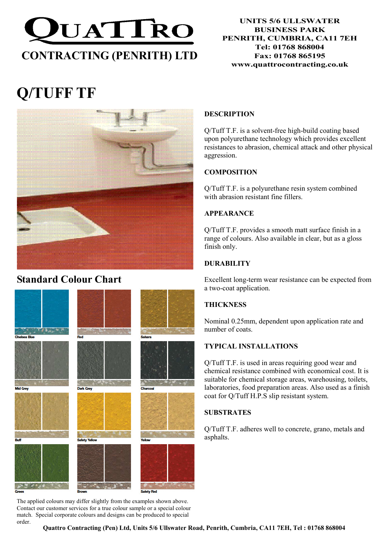

#### UNITS 5/6 ULLSWATER BUSINESS PARK PENRITH, CUMBRIA, CA11 7EH Tel: 01768 868004 Fax: 01768 865195 www.quattrocontracting.co.uk

# Q/TUFF TF



# Standard Colour Chart



The applied colours may differ slightly from the examples shown above. Contact our customer services for a true colour sample or a special colour match. Special corporate colours and designs can be produced to special order.

## DESCRIPTION

Q/Tuff T.F. is a solvent-free high-build coating based upon polyurethane technology which provides excellent resistances to abrasion, chemical attack and other physical aggression.

# **COMPOSITION**

Q/Tuff T.F. is a polyurethane resin system combined with abrasion resistant fine fillers.

# APPEARANCE

Q/Tuff T.F. provides a smooth matt surface finish in a range of colours. Also available in clear, but as a gloss finish only.

# **DURABILITY**

Excellent long-term wear resistance can be expected from a two-coat application.

# **THICKNESS**

Nominal 0.25mm, dependent upon application rate and number of coats.

# TYPICAL INSTALLATIONS

Q/Tuff T.F. is used in areas requiring good wear and chemical resistance combined with economical cost. It is suitable for chemical storage areas, warehousing, toilets, laboratories, food preparation areas. Also used as a finish coat for Q/Tuff H.P.S slip resistant system.

# **SUBSTRATES**

Q/Tuff T.F. adheres well to concrete, grano, metals and asphalts.